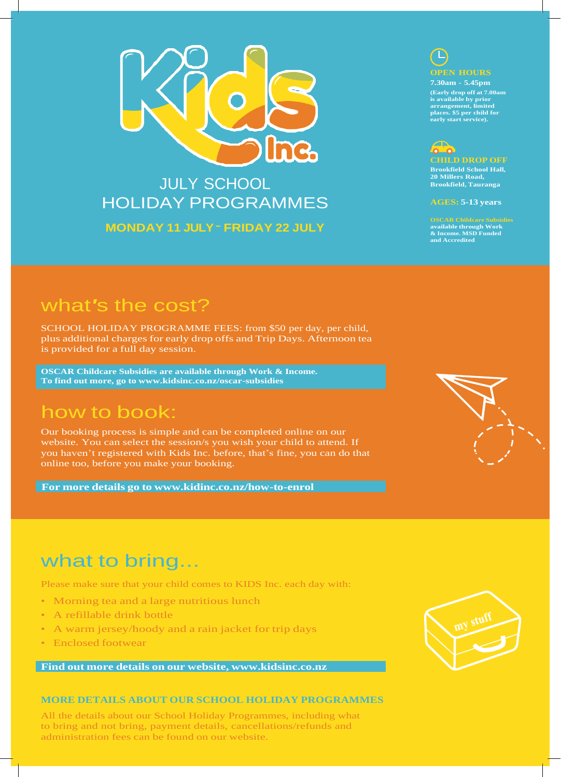

## JULY SCHOOL HOLIDAY PROGRAMMES **MONDAY 11 JULY ˜ FRIDAY 22 JULY**



**7.30am - 5.45pm (Early drop off at 7.00am is available by prior arrangement, limited places. \$5 per child for early start service).**



**Brookfield School Hall, 20 Millers Road, Brookfield, Tauranga**

**AGES: 5-13 years**

**OSCAR Childcare Subsidies available through Work & Income. MSD Funded and Accredited**

## what*'*s the cost?

SCHOOL HOLIDAY PROGRAMME FEES: from \$50 per day, per child, plus additional charges for early drop offs and Trip Days. Afternoon tea is provided for a full day session.

**OSCAR Childcare Subsidies are available through Work & Income. To find out more, go to [www.kidsinc.co.nz/oscar-subsidies](http://www.kidsinc.co.nz/oscar-subsidies)**

## how to book:

Our booking process is simple and can be completed online on our website. You can select the session/s you wish your child to attend. If you haven't registered with Kids Inc. before, that's fine, you can do that online too, before you make your booking.

**For more details go to [www.kidinc.co.nz/how-to-enrol](http://www.kidinc.co.nz/how-to-enrol)**



# what to bring...

Please make sure that your child comes to KIDS Inc. each day with:

- Morning tea and a large nutritious lunch
- A refillable drink bottle
- A warm jersey/hoody and a rain jacket for trip days
- Enclosed footwear

**Find out more details on our website, [www.kidsinc.co.nz](http://www.kidsinc.co.nz/)**

#### **MORE DETAILS ABOUT OUR SCHOOL HOLIDAY PROGRAMMES**

All the details about our School Holiday Programmes, including what to bring and not bring, payment details, cancellations/refunds and administration fees can be found on our website.